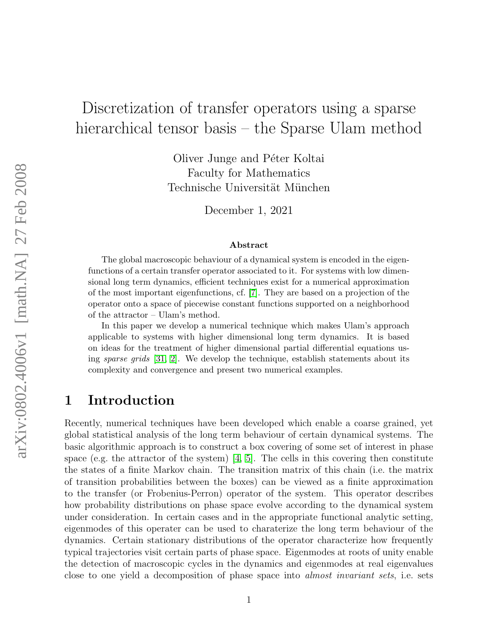# Discretization of transfer operators using a sparse hierarchical tensor basis – the Sparse Ulam method

Oliver Junge and Péter Koltai Faculty for Mathematics Technische Universität München

December 1, 2021

#### Abstract

The global macroscopic behaviour of a dynamical system is encoded in the eigenfunctions of a certain transfer operator associated to it. For systems with low dimensional long term dynamics, efficient techniques exist for a numerical approximation of the most important eigenfunctions, cf. [\[7\]](#page-20-0). They are based on a projection of the operator onto a space of piecewise constant functions supported on a neighborhood of the attractor – Ulam's method.

In this paper we develop a numerical technique which makes Ulam's approach applicable to systems with higher dimensional long term dynamics. It is based on ideas for the treatment of higher dimensional partial differential equations using sparse grids [\[31,](#page-22-0) [2\]](#page-20-1). We develop the technique, establish statements about its complexity and convergence and present two numerical examples.

# 1 Introduction

Recently, numerical techniques have been developed which enable a coarse grained, yet global statistical analysis of the long term behaviour of certain dynamical systems. The basic algorithmic approach is to construct a box covering of some set of interest in phase space (e.g. the attractor of the system)  $\vert 4, 5 \vert$ . The cells in this covering then constitute the states of a finite Markov chain. The transition matrix of this chain (i.e. the matrix of transition probabilities between the boxes) can be viewed as a finite approximation to the transfer (or Frobenius-Perron) operator of the system. This operator describes how probability distributions on phase space evolve according to the dynamical system under consideration. In certain cases and in the appropriate functional analytic setting, eigenmodes of this operater can be used to charaterize the long term behaviour of the dynamics. Certain stationary distributions of the operator characterize how frequently typical trajectories visit certain parts of phase space. Eigenmodes at roots of unity enable the detection of macroscopic cycles in the dynamics and eigenmodes at real eigenvalues close to one yield a decomposition of phase space into almost invariant sets, i.e. sets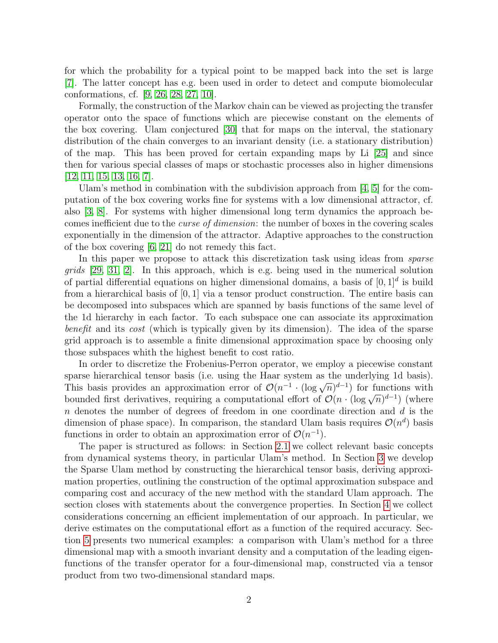for which the probability for a typical point to be mapped back into the set is large [\[7\]](#page-20-0). The latter concept has e.g. been used in order to detect and compute biomolecular conformations, cf. [\[9,](#page-21-0) [26,](#page-22-1) [28,](#page-22-2) [27,](#page-22-3) [10\]](#page-21-1).

Formally, the construction of the Markov chain can be viewed as projecting the transfer operator onto the space of functions which are piecewise constant on the elements of the box covering. Ulam conjectured [\[30\]](#page-22-4) that for maps on the interval, the stationary distribution of the chain converges to an invariant density (i.e. a stationary distribution) of the map. This has been proved for certain expanding maps by Li [\[25\]](#page-22-5) and since then for various special classes of maps or stochastic processes also in higher dimensions [\[12,](#page-21-2) [11,](#page-21-3) [15,](#page-21-4) [13,](#page-21-5) [16,](#page-21-6) [7\]](#page-20-0).

Ulam's method in combination with the subdivision approach from [\[4,](#page-20-2) [5\]](#page-20-3) for the computation of the box covering works fine for systems with a low dimensional attractor, cf. also [\[3,](#page-20-4) [8\]](#page-21-7). For systems with higher dimensional long term dynamics the approach becomes inefficient due to the curse of dimension: the number of boxes in the covering scales exponentially in the dimension of the attractor. Adaptive approaches to the construction of the box covering [\[6,](#page-20-5) [21\]](#page-22-6) do not remedy this fact.

In this paper we propose to attack this discretization task using ideas from *sparse* grids [\[29,](#page-22-7) [31,](#page-22-0) [2\]](#page-20-1). In this approach, which is e.g. being used in the numerical solution of partial differential equations on higher dimensional domains, a basis of  $[0,1]^d$  is build from a hierarchical basis of [0, 1] via a tensor product construction. The entire basis can be decomposed into subspaces which are spanned by basis functions of the same level of the 1d hierarchy in each factor. To each subspace one can associate its approximation benefit and its cost (which is typically given by its dimension). The idea of the sparse grid approach is to assemble a finite dimensional approximation space by choosing only those subspaces whith the highest benefit to cost ratio.

In order to discretize the Frobenius-Perron operator, we employ a piecewise constant sparse hierarchical tensor basis (i.e. using the Haar system as the underlying 1d basis). sparse merarcincal tensor basis (i.e. using the riaal system as the underlying 1d basis).<br>This basis provides an approximation error of  $\mathcal{O}(n^{-1} \cdot (\log \sqrt{n})^{d-1})$  for functions with This basis provides an approximation error of  $O(n \cdot (\log \sqrt{n})^d)$  for functions with<br>bounded first derivatives, requiring a computational effort of  $O(n \cdot (\log \sqrt{n})^{d-1})$  (where  $n$  denotes the number of degrees of freedom in one coordinate direction and  $d$  is the dimension of phase space). In comparison, the standard Ulam basis requires  $\mathcal{O}(n^d)$  basis functions in order to obtain an approximation error of  $\mathcal{O}(n^{-1})$ .

The paper is structured as follows: in Section [2.1](#page-2-0) we collect relevant basic concepts from dynamical systems theory, in particular Ulam's method. In Section [3](#page-5-0) we develop the Sparse Ulam method by constructing the hierarchical tensor basis, deriving approximation properties, outlining the construction of the optimal approximation subspace and comparing cost and accuracy of the new method with the standard Ulam approach. The section closes with statements about the convergence properties. In Section [4](#page-10-0) we collect considerations concerning an efficient implementation of our approach. In particular, we derive estimates on the computational effort as a function of the required accuracy. Section [5](#page-17-0) presents two numerical examples: a comparison with Ulam's method for a three dimensional map with a smooth invariant density and a computation of the leading eigenfunctions of the transfer operator for a four-dimensional map, constructed via a tensor product from two two-dimensional standard maps.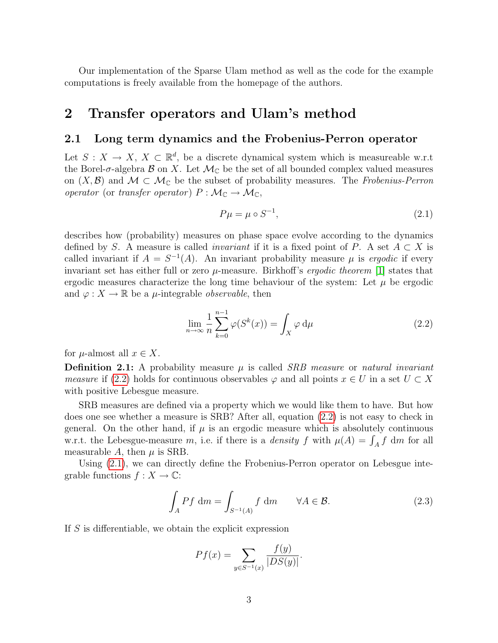Our implementation of the Sparse Ulam method as well as the code for the example computations is freely available from the homepage of the authors.

# <span id="page-2-3"></span>2 Transfer operators and Ulam's method

### <span id="page-2-0"></span>2.1 Long term dynamics and the Frobenius-Perron operator

Let  $S: X \to X, X \subset \mathbb{R}^d$ , be a discrete dynamical system which is measureable w.r.t the Borel- $\sigma$ -algebra  $\beta$  on X. Let  $\mathcal{M}_{\mathbb{C}}$  be the set of all bounded complex valued measures on  $(X,\mathcal{B})$  and  $\mathcal{M} \subset \mathcal{M}_{\mathbb{C}}$  be the subset of probability measures. The Frobenius-Perron operator (or transfer operator)  $P : \mathcal{M}_{\mathbb{C}} \to \mathcal{M}_{\mathbb{C}}$ ,

<span id="page-2-2"></span>
$$
P\mu = \mu \circ S^{-1},\tag{2.1}
$$

describes how (probability) measures on phase space evolve according to the dynamics defined by S. A measure is called *invariant* if it is a fixed point of P. A set  $A \subset X$  is called invariant if  $A = S^{-1}(A)$ . An invariant probability measure  $\mu$  is ergodic if every invariant set has either full or zero  $\mu$ -measure. Birkhoff's *ergodic theorem* [\[1\]](#page-19-0) states that ergodic measures characterize the long time behaviour of the system: Let  $\mu$  be ergodic and  $\varphi: X \to \mathbb{R}$  be a *µ*-integrable *observable*, then

<span id="page-2-1"></span>
$$
\lim_{n \to \infty} \frac{1}{n} \sum_{k=0}^{n-1} \varphi(S^k(x)) = \int_X \varphi \, \mathrm{d}\mu \tag{2.2}
$$

for  $\mu$ -almost all  $x \in X$ .

**Definition 2.1:** A probability measure  $\mu$  is called *SRB measure* or *natural invariant measure* if [\(2.2\)](#page-2-1) holds for continuous observables  $\varphi$  and all points  $x \in U$  in a set  $U \subset X$ with positive Lebesgue measure.

SRB measures are defined via a property which we would like them to have. But how does one see whether a measure is SRB? After all, equation [\(2.2\)](#page-2-1) is not easy to check in general. On the other hand, if  $\mu$  is an ergodic measure which is absolutely continuous w.r.t. the Lebesgue-measure m, i.e. if there is a *density* f with  $\mu(A) = \int_A f \ dm$  for all measurable A, then  $\mu$  is SRB.

Using [\(2.1\)](#page-2-2), we can directly define the Frobenius-Perron operator on Lebesgue integrable functions  $f: X \to \mathbb{C}$ :

$$
\int_{A} Pf \, dm = \int_{S^{-1}(A)} f \, dm \qquad \forall A \in \mathcal{B}.
$$
\n(2.3)

If S is differentiable, we obtain the explicit expression

$$
Pf(x) = \sum_{y \in S^{-1}(x)} \frac{f(y)}{|DS(y)|}.
$$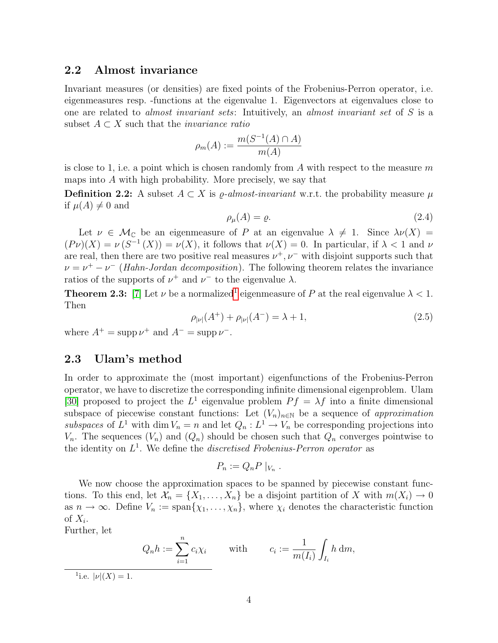### 2.2 Almost invariance

Invariant measures (or densities) are fixed points of the Frobenius-Perron operator, i.e. eigenmeasures resp. -functions at the eigenvalue 1. Eigenvectors at eigenvalues close to one are related to almost invariant sets: Intuitively, an almost invariant set of S is a subset  $A \subset X$  such that the *invariance ratio* 

$$
\rho_m(A) := \frac{m(S^{-1}(A) \cap A)}{m(A)}
$$

is close to 1, i.e. a point which is chosen randomly from  $A$  with respect to the measure  $m$ maps into A with high probability. More precisely, we say that

**Definition 2.2:** A subset  $A \subset X$  is  $\rho$ *-almost-invariant* w.r.t. the probability measure  $\mu$ if  $\mu(A) \neq 0$  and

$$
\rho_{\mu}(A) = \varrho. \tag{2.4}
$$

Let  $\nu \in \mathcal{M}_{\mathbb{C}}$  be an eigenmeasure of P at an eigenvalue  $\lambda \neq 1$ . Since  $\lambda \nu(X) =$  $(P\nu)(X) = \nu(S^{-1}(X)) = \nu(X)$ , it follows that  $\nu(X) = 0$ . In particular, if  $\lambda < 1$  and  $\nu$ are real, then there are two positive real measures  $\nu^+, \nu^-$  with disjoint supports such that  $\nu = \nu^+ - \nu^-$  (Hahn-Jordan decomposition). The following theorem relates the invariance ratios of the supports of  $\nu^+$  and  $\nu^-$  to the eigenvalue  $\lambda$ .

**Theorem 2.3:** [\[7\]](#page-20-0) Let  $\nu$  be a normalized<sup>[1](#page-3-0)</sup> eigenmeasure of P at the real eigenvalue  $\lambda < 1$ . Then

$$
\rho_{|\nu|}(A^+) + \rho_{|\nu|}(A^-) = \lambda + 1,\tag{2.5}
$$

where  $A^+$  = supp  $\nu^+$  and  $A^-$  = supp  $\nu^-$ .

### <span id="page-3-1"></span>2.3 Ulam's method

In order to approximate the (most important) eigenfunctions of the Frobenius-Perron operator, we have to discretize the corresponding infinite dimensional eigenproblem. Ulam [\[30\]](#page-22-4) proposed to project the  $L^1$  eigenvalue problem  $Pf = \lambda f$  into a finite dimensional subspace of piecewise constant functions: Let  $(V_n)_{n\in\mathbb{N}}$  be a sequence of approximation subspaces of  $L^1$  with dim  $V_n = n$  and let  $Q_n : L^1 \to V_n$  be corresponding projections into  $V_n$ . The sequences  $(V_n)$  and  $(Q_n)$  should be chosen such that  $Q_n$  converges pointwise to the identity on  $L^1$ . We define the *discretised Frobenius-Perron operator* as

$$
P_n := Q_n P \mid_{V_n}.
$$

We now choose the approximation spaces to be spanned by piecewise constant functions. To this end, let  $\mathcal{X}_n = \{X_1, \ldots, X_n\}$  be a disjoint partition of X with  $m(X_i) \to 0$ as  $n \to \infty$ . Define  $V_n := \text{span}\{\chi_1, \ldots, \chi_n\}$ , where  $\chi_i$  denotes the characteristic function of  $X_i$ .

Further, let

$$
Q_n h := \sum_{i=1}^n c_i \chi_i \quad \text{with} \quad c_i := \frac{1}{m(I_i)} \int_{I_i} h \, dm,
$$

<span id="page-3-0"></span><sup>1</sup>i.e.  $|\nu|(X) = 1$ .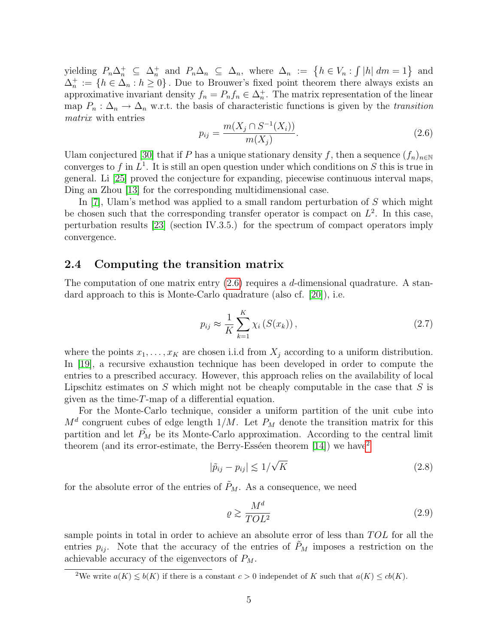yielding  $P_n\Delta_n^+ \subseteq \Delta_n^+$  and  $P_n\Delta_n \subseteq \Delta_n$ , where  $\Delta_n := \{h \in V_n : \int |h| \, dm = 1\}$  and  $\Delta_n^+ := \{h \in \Delta_n : h \geq 0\}$ . Due to Brouwer's fixed point theorem there always exists an approximative invariant density  $f_n = P_n f_n \in \Delta_n^+$ . The matrix representation of the linear map  $P_n: \Delta_n \to \Delta_n$  w.r.t. the basis of characteristic functions is given by the transition matrix with entries

<span id="page-4-0"></span>
$$
p_{ij} = \frac{m(X_j \cap S^{-1}(X_i))}{m(X_j)}.
$$
\n(2.6)

Ulam conjectured [\[30\]](#page-22-4) that if P has a unique stationary density f, then a sequence  $(f_n)_{n\in\mathbb{N}}$ converges to f in  $L^1$ . It is still an open question under which conditions on S this is true in general. Li [\[25\]](#page-22-5) proved the conjecture for expanding, piecewise continuous interval maps, Ding an Zhou [\[13\]](#page-21-5) for the corresponding multidimensional case.

In [\[7\]](#page-20-0), Ulam's method was applied to a small random perturbation of  $S$  which might be chosen such that the corresponding transfer operator is compact on  $L^2$ . In this case, perturbation results [\[23\]](#page-22-8) (section IV.3.5.) for the spectrum of compact operators imply convergence.

### <span id="page-4-2"></span>2.4 Computing the transition matrix

The computation of one matrix entry  $(2.6)$  requires a d-dimensional quadrature. A standard approach to this is Monte-Carlo quadrature (also cf. [\[20\]](#page-22-9)), i.e.

$$
p_{ij} \approx \frac{1}{K} \sum_{k=1}^{K} \chi_i\left(S(x_k)\right),\tag{2.7}
$$

where the points  $x_1, \ldots, x_K$  are chosen i.i.d from  $X_i$  according to a uniform distribution. In [\[19\]](#page-22-10), a recursive exhaustion technique has been developed in order to compute the entries to a prescribed accuracy. However, this approach relies on the availability of local Lipschitz estimates on  $S$  which might not be cheaply computable in the case that  $S$  is given as the time-T-map of a differential equation.

For the Monte-Carlo technique, consider a uniform partition of the unit cube into  $M<sup>d</sup>$  congruent cubes of edge length  $1/M$ . Let  $P<sub>M</sub>$  denote the transition matrix for this partition and let  $P_M$  be its Monte-Carlo approximation. According to the central limit theorem (and its error-estimate, the Berry-Esséen theorem [\[14\]](#page-21-8)) we have<sup>[2](#page-4-1)</sup>

$$
|\tilde{p}_{ij} - p_{ij}| \le 1/\sqrt{K} \tag{2.8}
$$

for the absolute error of the entries of  $\tilde{P}_M$ . As a consequence, we need

$$
\varrho \gtrsim \frac{M^d}{TOL^2} \tag{2.9}
$$

sample points in total in order to achieve an absolute error of less than  $TOL$  for all the entries  $p_{ij}$ . Note that the accuracy of the entries of  $P_M$  imposes a restriction on the achievable accuracy of the eigenvectors of  $P_M$ .

<span id="page-4-1"></span><sup>&</sup>lt;sup>2</sup>We write  $a(K) \le b(K)$  if there is a constant  $c > 0$  independet of K such that  $a(K) \le cb(K)$ .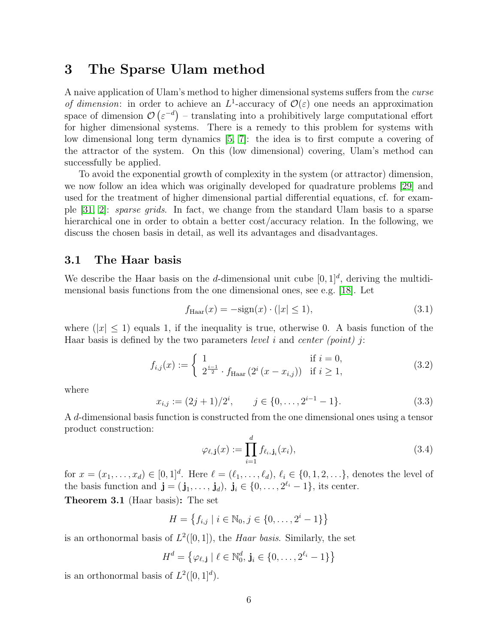### <span id="page-5-0"></span>3 The Sparse Ulam method

A naive application of Ulam's method to higher dimensional systems suffers from the curse of dimension: in order to achieve an  $L^1$ -accuracy of  $\mathcal{O}(\varepsilon)$  one needs an approximation space of dimension  $\mathcal{O}(\varepsilon^{-d})$  – translating into a prohibitively large computational effort for higher dimensional systems. There is a remedy to this problem for systems with low dimensional long term dynamics [\[5,](#page-20-3) [7\]](#page-20-0): the idea is to first compute a covering of the attractor of the system. On this (low dimensional) covering, Ulam's method can successfully be applied.

To avoid the exponential growth of complexity in the system (or attractor) dimension, we now follow an idea which was originally developed for quadrature problems [\[29\]](#page-22-7) and used for the treatment of higher dimensional partial differential equations, cf. for example [\[31,](#page-22-0) [2\]](#page-20-1): sparse grids. In fact, we change from the standard Ulam basis to a sparse hierarchical one in order to obtain a better cost/accuracy relation. In the following, we discuss the chosen basis in detail, as well its advantages and disadvantages.

### 3.1 The Haar basis

We describe the Haar basis on the d-dimensional unit cube  $[0, 1]^d$ , deriving the multidimensional basis functions from the one dimensional ones, see e.g. [\[18\]](#page-21-9). Let

$$
f_{\text{Haar}}(x) = -\text{sign}(x) \cdot (|x| \le 1),\tag{3.1}
$$

where  $(|x| \leq 1)$  equals 1, if the inequality is true, otherwise 0. A basis function of the Haar basis is defined by the two parameters *level* i and *center (point)* i:

$$
f_{i,j}(x) := \begin{cases} 1 & \text{if } i = 0, \\ 2^{\frac{i-1}{2}} \cdot f_{\text{Haar}}(2^i (x - x_{i,j})) & \text{if } i \ge 1, \end{cases}
$$
(3.2)

where

$$
x_{i,j} := (2j+1)/2^i, \qquad j \in \{0, \dots, 2^{i-1}-1\}.
$$
 (3.3)

A d-dimensional basis function is constructed from the one dimensional ones using a tensor product construction:

$$
\varphi_{\ell, \mathbf{j}}(x) := \prod_{i=1}^{d} f_{\ell_i, \mathbf{j}_i}(x_i), \tag{3.4}
$$

for  $x = (x_1, \ldots, x_d) \in [0, 1]^d$ . Here  $\ell = (\ell_1, \ldots, \ell_d), \ell_i \in \{0, 1, 2, \ldots\}$ , denotes the level of the basis function and  $\mathbf{j} = (\mathbf{j}_1, \ldots, \mathbf{j}_d), \mathbf{j}_i \in \{0, \ldots, 2^{\ell_i} - 1\}$ , its center.

Theorem 3.1 (Haar basis): The set

$$
H = \left\{ f_{i,j} \mid i \in \mathbb{N}_0, j \in \{0, \ldots, 2^i - 1\} \right\}
$$

is an orthonormal basis of  $L^2([0,1])$ , the *Haar basis*. Similarly, the set

$$
H^d = \left\{ \varphi_{\ell, \mathbf{j}} \mid \ell \in \mathbb{N}_0^d, \mathbf{j}_i \in \{0, \ldots, 2^{\ell_i} - 1\} \right\}
$$

is an orthonormal basis of  $L^2([0,1]^d)$ .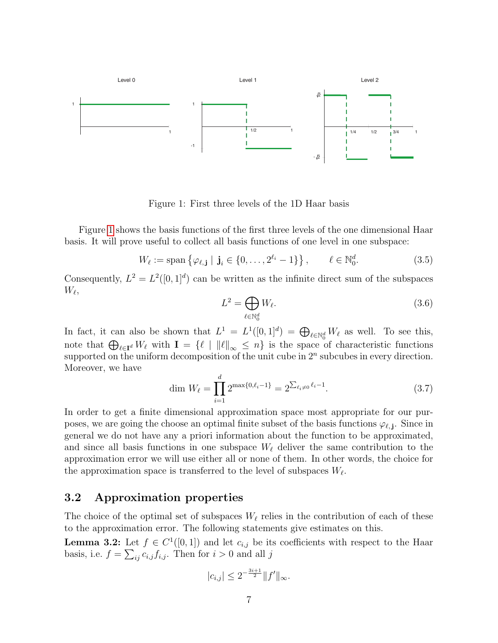

<span id="page-6-0"></span>Figure 1: First three levels of the 1D Haar basis

Figure [1](#page-6-0) shows the basis functions of the first three levels of the one dimensional Haar basis. It will prove useful to collect all basis functions of one level in one subspace:

$$
W_{\ell} := \text{span}\left\{\varphi_{\ell, \mathbf{j}} \mid \mathbf{j}_{i} \in \{0, \ldots, 2^{\ell_{i}} - 1\}\right\}, \qquad \ell \in \mathbb{N}_{0}^{d}.
$$
 (3.5)

Consequently,  $L^2 = L^2([0,1]^d)$  can be written as the infinite direct sum of the subspaces  $W_{\ell},$ 

$$
L^2 = \bigoplus_{\ell \in \mathbb{N}_0^d} W_{\ell}.\tag{3.6}
$$

In fact, it can also be shown that  $L^1 = L^1([0,1]^d) = \bigoplus_{\ell \in \mathbb{N}_0^d} W_{\ell}$  as well. To see this, note that  $\bigoplus_{\ell \in \mathbf{I}^d} W_{\ell}$  with  $\mathbf{I} = \{\ell \mid ||\ell||_{\infty} \leq n\}$  is the space of characteristic functions supported on the uniform decomposition of the unit cube in  $2<sup>n</sup>$  subcubes in every direction. Moreover, we have

$$
\dim W_{\ell} = \prod_{i=1}^{d} 2^{\max\{0,\ell_i - 1\}} = 2^{\sum_{\ell_i \neq 0} \ell_i - 1}.\tag{3.7}
$$

In order to get a finite dimensional approximation space most appropriate for our purposes, we are going the choose an optimal finite subset of the basis functions  $\varphi_{\ell, j}$ . Since in general we do not have any a priori information about the function to be approximated, and since all basis functions in one subspace  $W_{\ell}$  deliver the same contribution to the approximation error we will use either all or none of them. In other words, the choice for the approximation space is transferred to the level of subspaces  $W_{\ell}$ .

### 3.2 Approximation properties

The choice of the optimal set of subspaces  $W_{\ell}$  relies in the contribution of each of these to the approximation error. The following statements give estimates on this.

**Lemma 3.2:** Let  $f \in C^1([0,1])$  and let  $c_{i,j}$  be its coefficients with respect to the Haar basis, i.e.  $f = \sum_{ij} c_{i,j} f_{i,j}$ . Then for  $i > 0$  and all j

$$
|c_{i,j}| \le 2^{-\frac{3i+1}{2}} \|f'\|_{\infty}.
$$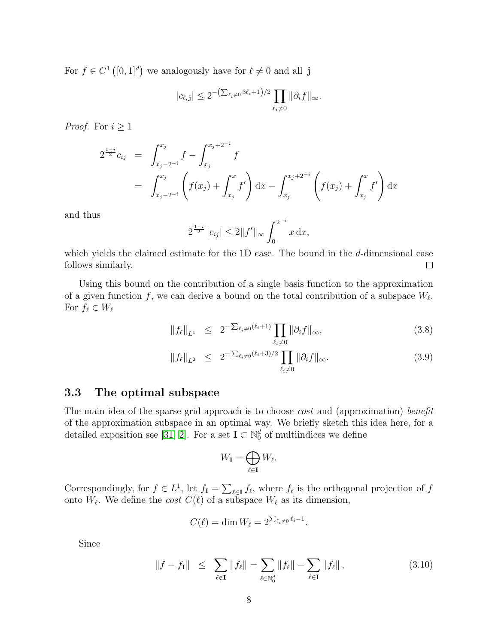For  $f \in C^1([0,1]^d)$  we analogously have for  $\ell \neq 0$  and all j

$$
|c_{\ell, \mathbf{j}}| \leq 2^{-\left(\sum_{\ell_i \neq 0} 3\ell_i + 1\right)/2} \prod_{\ell_i \neq 0} \|\partial_i f\|_{\infty}.
$$

*Proof.* For  $i \geq 1$ 

$$
2^{\frac{1-i}{2}}c_{ij} = \int_{x_j-2^{-i}}^{x_j} f - \int_{x_j}^{x_j+2^{-i}} f
$$
  
= 
$$
\int_{x_j-2^{-i}}^{x_j} \left( f(x_j) + \int_{x_j}^{x} f' \right) dx - \int_{x_j}^{x_j+2^{-i}} \left( f(x_j) + \int_{x_j}^{x} f' \right) dx
$$

and thus

$$
2^{\frac{1-i}{2}}|c_{ij}| \le 2||f'||_{\infty} \int_0^{2^{-i}} x \, dx,
$$

which yields the claimed estimate for the 1D case. The bound in the d-dimensional case follows similarly.  $\Box$ 

Using this bound on the contribution of a single basis function to the approximation of a given function f, we can derive a bound on the total contribution of a subspace  $W_{\ell}$ . For  $f_\ell \in W_\ell$ 

<span id="page-7-1"></span>
$$
||f_{\ell}||_{L^{1}} \leq 2^{-\sum_{\ell_{i} \neq 0} (\ell_{i}+1)} \prod_{\ell_{i} \neq 0} ||\partial_{i}f||_{\infty}, \tag{3.8}
$$

$$
||f_{\ell}||_{L^{2}} \leq 2^{-\sum_{\ell_{i} \neq 0} (\ell_{i}+3)/2} \prod_{\ell_{i} \neq 0} ||\partial_{i}f||_{\infty}.
$$
 (3.9)

### 3.3 The optimal subspace

The main idea of the sparse grid approach is to choose *cost* and (approximation) benefit of the approximation subspace in an optimal way. We briefly sketch this idea here, for a detailed exposition see [\[31,](#page-22-0) [2\]](#page-20-1). For a set  $I \subset \mathbb{N}_0^d$  of multiindices we define

$$
W_{\mathbf{I}}=\bigoplus_{\ell\in\mathbf{I}}W_{\ell}.
$$

Correspondingly, for  $f \in L^1$ , let  $f_{\mathbf{I}} = \sum_{\ell \in \mathbf{I}} f_{\ell}$ , where  $f_{\ell}$  is the orthogonal projection of f onto  $W_{\ell}$ . We define the *cost*  $C(\ell)$  of a subspace  $W_{\ell}$  as its dimension,

$$
C(\ell) = \dim W_{\ell} = 2^{\sum_{\ell_i \neq 0} \ell_i - 1}.
$$

Since

<span id="page-7-0"></span>
$$
||f - f_{\mathbf{I}}|| \leq \sum_{\ell \notin \mathbf{I}} ||f_{\ell}|| = \sum_{\ell \in \mathbb{N}_0^d} ||f_{\ell}|| - \sum_{\ell \in \mathbf{I}} ||f_{\ell}||, \qquad (3.10)
$$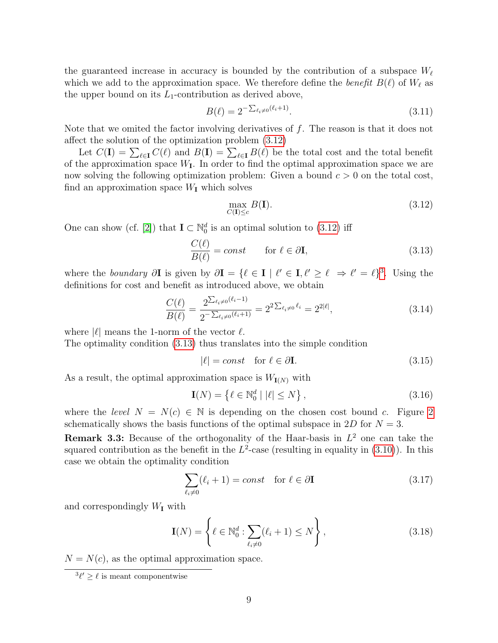the guaranteed increase in accuracy is bounded by the contribution of a subspace  $W_\ell$ which we add to the approximation space. We therefore define the benefit  $B(\ell)$  of  $W_{\ell}$  as the upper bound on its  $L_1$ -contribution as derived above,

<span id="page-8-3"></span>
$$
B(\ell) = 2^{-\sum_{\ell_i \neq 0} (\ell_i + 1)}.
$$
\n(3.11)

Note that we omited the factor involving derivatives of  $f$ . The reason is that it does not affect the solution of the optimization problem [\(3.12\)](#page-8-0)

Let  $C(\mathbf{I}) = \sum_{\ell \in \mathbf{I}} C(\ell)$  and  $B(\mathbf{I}) = \sum_{\ell \in \mathbf{I}} B(\ell)$  be the total cost and the total benefit of the approximation space  $W_{I}$ . In order to find the optimal approximation space we are now solving the following optimization problem: Given a bound  $c > 0$  on the total cost, find an approximation space  $W_{\mathbf{I}}$  which solves

<span id="page-8-0"></span>
$$
\max_{C(\mathbf{I}) \le c} B(\mathbf{I}).\tag{3.12}
$$

One can show (cf. [\[2\]](#page-20-1)) that  $I \subset \mathbb{N}_0^d$  is an optimal solution to [\(3.12\)](#page-8-0) iff

<span id="page-8-2"></span>
$$
\frac{C(\ell)}{B(\ell)} = const \qquad \text{for } \ell \in \partial \mathbf{I}, \tag{3.13}
$$

where the boundary  $\partial I$  is given by  $\partial I = \{ \ell \in I \mid \ell' \in I, \ell' \geq \ell \Rightarrow \ell' = \ell \}^3$  $\partial I = \{ \ell \in I \mid \ell' \in I, \ell' \geq \ell \Rightarrow \ell' = \ell \}^3$ . Using the definitions for cost and benefit as introduced above, we obtain

$$
\frac{C(\ell)}{B(\ell)} = \frac{2^{\sum_{\ell_i \neq 0} (\ell_i - 1)}}{2^{-\sum_{\ell_i \neq 0} (\ell_i + 1)}} = 2^{2\sum_{\ell_i \neq 0} \ell_i} = 2^{2|\ell|},\tag{3.14}
$$

where  $|\ell|$  means the 1-norm of the vector  $\ell$ .

The optimality condition [\(3.13\)](#page-8-2) thus translates into the simple condition

$$
|\ell| = const \quad \text{for } \ell \in \partial \mathbf{I}.\tag{3.15}
$$

As a result, the optimal approximation space is  $W_{I(N)}$  with

$$
\mathbf{I}(N) = \left\{ \ell \in \mathbb{N}_0^d \mid |\ell| \le N \right\},\tag{3.16}
$$

where the level  $N = N(c) \in \mathbb{N}$  is depending on the chosen cost bound c. Figure [2](#page-9-0) schematically shows the basis functions of the optimal subspace in 2D for  $N = 3$ .

**Remark 3.3:** Because of the orthogonality of the Haar-basis in  $L^2$  one can take the squared contribution as the benefit in the  $L^2$ -case (resulting in equality in  $(3.10)$ ). In this case we obtain the optimality condition

$$
\sum_{\ell_i \neq 0} (\ell_i + 1) = const \quad \text{for } \ell \in \partial \mathbf{I}
$$
 (3.17)

and correspondingly  $W_{\mathbf{I}}$  with

$$
\mathbf{I}(N) = \left\{ \ell \in \mathbb{N}_0^d : \sum_{\ell_i \neq 0} (\ell_i + 1) \le N \right\},\tag{3.18}
$$

 $N = N(c)$ , as the optimal approximation space.

<span id="page-8-1"></span> $^{3}\ell' \geq \ell$  is meant componentwise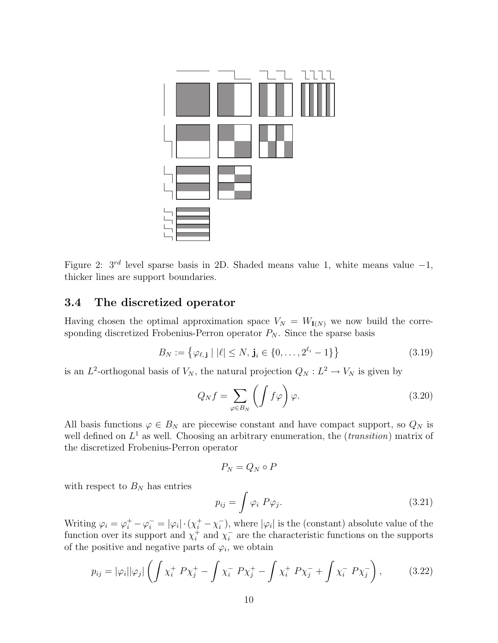

<span id="page-9-0"></span>Figure 2:  $3^{rd}$  level sparse basis in 2D. Shaded means value 1, white means value  $-1$ , thicker lines are support boundaries.

### 3.4 The discretized operator

Having chosen the optimal approximation space  $V_N = W_{I(N)}$  we now build the corresponding discretized Frobenius-Perron operator  $P_N$ . Since the sparse basis

$$
B_N := \{ \varphi_{\ell, \mathbf{j}} \mid |\ell| \le N, \mathbf{j}_i \in \{0, \dots, 2^{\ell_i} - 1\} \}
$$
(3.19)

is an  $L^2$ -orthogonal basis of  $V_N$ , the natural projection  $Q_N : L^2 \to V_N$  is given by

$$
Q_N f = \sum_{\varphi \in B_N} \left( \int f \varphi \right) \varphi. \tag{3.20}
$$

All basis functions  $\varphi \in B_N$  are piecewise constant and have compact support, so  $Q_N$  is well defined on  $L^1$  as well. Choosing an arbitrary enumeration, the (*transition*) matrix of the discretized Frobenius-Perron operator

$$
P_N=Q_N\circ P
$$

with respect to  $B_N$  has entries

<span id="page-9-2"></span>
$$
p_{ij} = \int \varphi_i \ P \varphi_j. \tag{3.21}
$$

Writing  $\varphi_i = \varphi_i^+ - \varphi_i^- = |\varphi_i| \cdot (\chi_i^+ - \chi_i^-)$  $\binom{-}{i}$ , where  $|\varphi_i|$  is the (constant) absolute value of the function over its support and  $\chi_i^+$  $i^+$  and  $\chi_i^ \overline{i}$  are the characteristic functions on the supports of the positive and negative parts of  $\varphi_i$ , we obtain

<span id="page-9-1"></span>
$$
p_{ij} = |\varphi_i| |\varphi_j| \left( \int \chi_i^+ P \chi_j^+ - \int \chi_i^- P \chi_j^+ - \int \chi_i^+ P \chi_j^- + \int \chi_i^- P \chi_j^- \right), \tag{3.22}
$$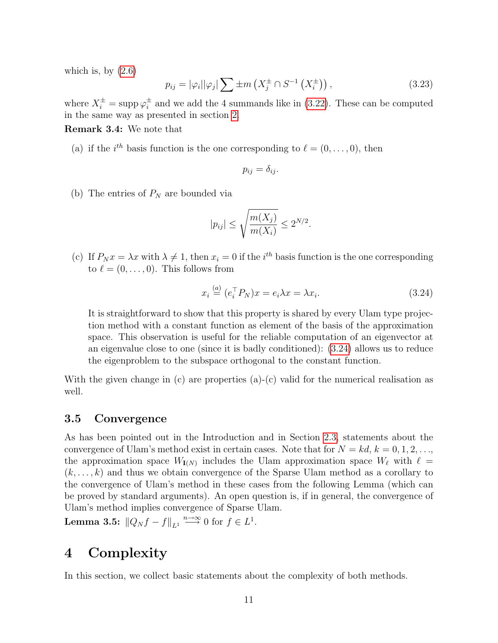which is, by  $(2.6)$ 

$$
p_{ij} = |\varphi_i||\varphi_j| \sum \pm m \left(X_j^{\pm} \cap S^{-1} \left(X_i^{\pm} \right)\right), \tag{3.23}
$$

where  $X_i^{\pm} = \text{supp } \varphi_i^{\pm}$  $\frac{1}{i}$  and we add the 4 summands like in [\(3.22\)](#page-9-1). These can be computed in the same way as presented in section [2.](#page-2-3)

Remark 3.4: We note that

(a) if the  $i^{th}$  basis function is the one corresponding to  $\ell = (0, \ldots, 0)$ , then

$$
p_{ij} = \delta_{ij}.
$$

(b) The entries of  $P_N$  are bounded via

$$
|p_{ij}| \le \sqrt{\frac{m(X_j)}{m(X_i)}} \le 2^{N/2}.
$$

(c) If  $P_N x = \lambda x$  with  $\lambda \neq 1$ , then  $x_i = 0$  if the i<sup>th</sup> basis function is the one corresponding to  $\ell = (0, \ldots, 0)$ . This follows from

<span id="page-10-1"></span>
$$
x_i \stackrel{(a)}{=} (e_i^\top P_N)x = e_i \lambda x = \lambda x_i. \tag{3.24}
$$

It is straightforward to show that this property is shared by every Ulam type projection method with a constant function as element of the basis of the approximation space. This observation is useful for the reliable computation of an eigenvector at an eigenvalue close to one (since it is badly conditioned): [\(3.24\)](#page-10-1) allows us to reduce the eigenproblem to the subspace orthogonal to the constant function.

With the given change in (c) are properties (a)-(c) valid for the numerical realisation as well.

### 3.5 Convergence

As has been pointed out in the Introduction and in Section [2.3,](#page-3-1) statements about the convergence of Ulam's method exist in certain cases. Note that for  $N = kd, k = 0, 1, 2, \ldots$ the approximation space  $W_{I(N)}$  includes the Ulam approximation space  $W_{\ell}$  with  $\ell =$  $(k, \ldots, k)$  and thus we obtain convergence of the Sparse Ulam method as a corollary to the convergence of Ulam's method in these cases from the following Lemma (which can be proved by standard arguments). An open question is, if in general, the convergence of Ulam's method implies convergence of Sparse Ulam.

**Lemma 3.5:**  $||Q_N f - f||_{L^1} \stackrel{n \to \infty}{\longrightarrow} 0$  for  $f \in L^1$ .

# <span id="page-10-0"></span>4 Complexity

In this section, we collect basic statements about the complexity of both methods.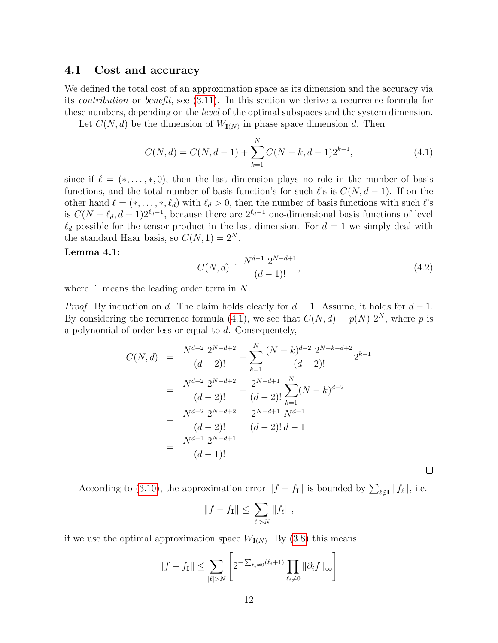### <span id="page-11-2"></span>4.1 Cost and accuracy

We defined the total cost of an approximation space as its dimension and the accuracy via its contribution or benefit, see [\(3.11\)](#page-8-3). In this section we derive a recurrence formula for these numbers, depending on the level of the optimal subspaces and the system dimension.

Let  $C(N, d)$  be the dimension of  $W_{I(N)}$  in phase space dimension d. Then

<span id="page-11-0"></span>
$$
C(N,d) = C(N,d-1) + \sum_{k=1}^{N} C(N-k,d-1)2^{k-1},
$$
\n(4.1)

since if  $\ell = (*, \ldots, *, 0)$ , then the last dimension plays no role in the number of basis functions, and the total number of basis function's for such  $\ell$ 's is  $C(N, d - 1)$ . If on the other hand  $\ell = (*, \ldots, *, \ell_d)$  with  $\ell_d > 0$ , then the number of basis functions with such  $\ell$ 's is  $C(N - \ell_d, d - 1)2^{\ell_d-1}$ , because there are  $2^{\ell_d-1}$  one-dimensional basis functions of level  $\ell_d$  possible for the tensor product in the last dimension. For  $d = 1$  we simply deal with the standard Haar basis, so  $C(N, 1) = 2^N$ .

### <span id="page-11-1"></span>Lemma 4.1:

$$
C(N,d) \doteq \frac{N^{d-1} \ 2^{N-d+1}}{(d-1)!},\tag{4.2}
$$

 $\Box$ 

where  $\dot{=}$  means the leading order term in N.

*Proof.* By induction on d. The claim holds clearly for  $d = 1$ . Assume, it holds for  $d - 1$ . By considering the recurrence formula [\(4.1\)](#page-11-0), we see that  $C(N, d) = p(N) 2^N$ , where p is a polynomial of order less or equal to d. Consequentely,

$$
C(N,d) \doteq \frac{N^{d-2} \ 2^{N-d+2}}{(d-2)!} + \sum_{k=1}^{N} \frac{(N-k)^{d-2} \ 2^{N-k-d+2}}{(d-2)!} 2^{k-1}
$$

$$
= \frac{N^{d-2} \ 2^{N-d+2}}{(d-2)!} + \frac{2^{N-d+1}}{(d-2)!} \sum_{k=1}^{N} (N-k)^{d-2}
$$

$$
\doteq \frac{N^{d-2} \ 2^{N-d+2}}{(d-2)!} + \frac{2^{N-d+1}}{(d-2)!} \frac{N^{d-1}}{d-1}
$$

$$
\doteq \frac{N^{d-1} \ 2^{N-d+1}}{(d-1)!}
$$

According to [\(3.10\)](#page-7-0), the approximation error  $||f - f_{I}||$  is bounded by  $\sum_{\ell \notin I} ||f_{\ell}||$ , i.e.

$$
||f - f_{\mathbf{I}}|| \leq \sum_{|\ell| > N} ||f_{\ell}||,
$$

if we use the optimal approximation space  $W_{I(N)}$ . By  $(3.8)$  this means

$$
||f - f_{\mathbf{I}}|| \leq \sum_{|\ell| > N} \left[ 2^{-\sum_{\ell_i \neq 0} (\ell_i + 1)} \prod_{\ell_i \neq 0} ||\partial_i f||_{\infty} \right]
$$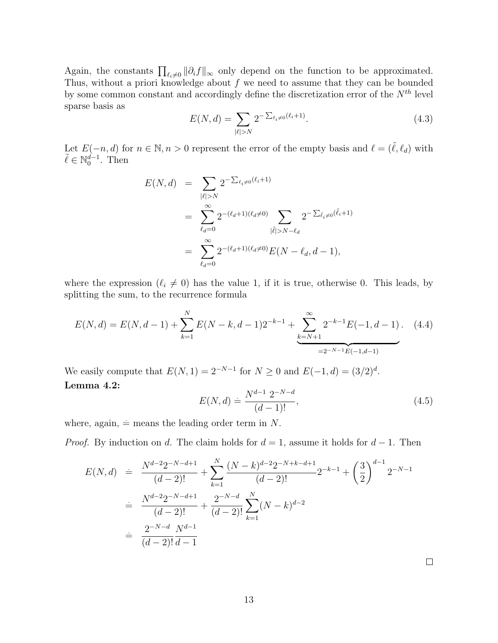Again, the constants  $\prod_{\ell_i\neq 0} ||\partial_i f||_{\infty}$  only depend on the function to be approximated. Thus, without a priori knowledge about  $f$  we need to assume that they can be bounded by some common constant and accordingly define the discretization error of the  $N^{th}$  level sparse basis as

$$
E(N,d) = \sum_{|\ell|>N} 2^{-\sum_{\ell_i\neq 0} (\ell_i+1)}.
$$
\n(4.3)

Let  $E(-n, d)$  for  $n \in \mathbb{N}, n > 0$  represent the error of the empty basis and  $\ell = (\tilde{\ell}, \ell_d)$  with  $\tilde{\ell} \in \mathbb{N}_0^{\tilde{d}-1}$ . Then

$$
E(N, d) = \sum_{|\ell| > N} 2^{-\sum_{\ell_i \neq 0} (\ell_i + 1)}
$$
  
= 
$$
\sum_{\ell_d = 0}^{\infty} 2^{-(\ell_d + 1)(\ell_d \neq 0)} \sum_{|\tilde{\ell}| > N - \ell_d} 2^{-\sum_{\tilde{\ell}_i \neq 0} (\tilde{\ell}_i + 1)}
$$
  
= 
$$
\sum_{\ell_d = 0}^{\infty} 2^{-(\ell_d + 1)(\ell_d \neq 0)} E(N - \ell_d, d - 1),
$$

where the expression  $(\ell_i \neq 0)$  has the value 1, if it is true, otherwise 0. This leads, by splitting the sum, to the recurrence formula

$$
E(N,d) = E(N,d-1) + \sum_{k=1}^{N} E(N-k,d-1)2^{-k-1} + \underbrace{\sum_{k=N+1}^{\infty} 2^{-k-1} E(-1,d-1)}_{=2^{-N-1} E(-1,d-1)}.
$$
 (4.4)

<span id="page-12-0"></span>We easily compute that  $E(N, 1) = 2^{-N-1}$  for  $N \ge 0$  and  $E(-1, d) = (3/2)^d$ . Lemma 4.2:  $\lambda$  1  $\sim$ N−d

$$
E(N,d) \doteq \frac{N^{d-1} \ 2^{-N-d}}{(d-1)!},\tag{4.5}
$$

where, again,  $\dot{=}$  means the leading order term in N.

*Proof.* By induction on d. The claim holds for  $d = 1$ , assume it holds for  $d - 1$ . Then

$$
E(N,d) = \frac{N^{d-2}2^{-N-d+1}}{(d-2)!} + \sum_{k=1}^{N} \frac{(N-k)^{d-2}2^{-N+k-d+1}}{(d-2)!} 2^{-k-1} + \left(\frac{3}{2}\right)^{d-1} 2^{-N-1}
$$
  

$$
= \frac{N^{d-2}2^{-N-d+1}}{(d-2)!} + \frac{2^{-N-d}}{(d-2)!} \sum_{k=1}^{N} (N-k)^{d-2}
$$
  

$$
= \frac{2^{-N-d}}{(d-2)!} \frac{N^{d-1}}{d-1}
$$

 $\Box$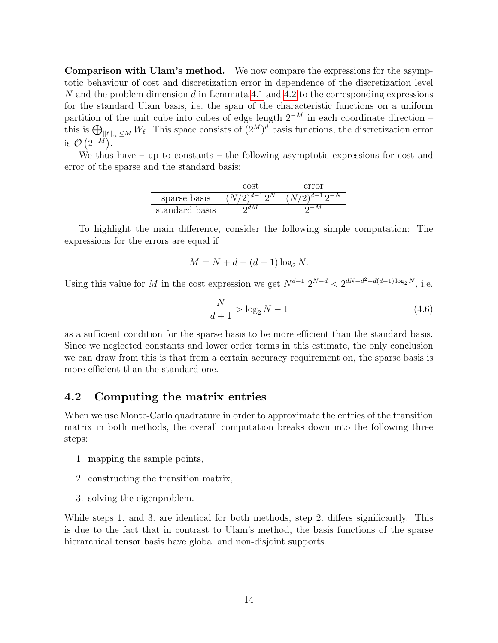Comparison with Ulam's method. We now compare the expressions for the asymptotic behaviour of cost and discretization error in dependence of the discretization level N and the problem dimension d in Lemmata [4.1](#page-11-1) and [4.2](#page-12-0) to the corresponding expressions for the standard Ulam basis, i.e. the span of the characteristic functions on a uniform partition of the unit cube into cubes of edge length  $2^{-M}$  in each coordinate direction – this is  $\bigoplus_{\|\ell\|_{\infty}\leq M} W_{\ell}$ . This space consists of  $(2^M)^d$  basis functions, the discretization error is  $\mathcal{O}(2^{-M}).$ 

We thus have – up to constants – the following asymptotic expressions for cost and error of the sparse and the standard basis:

|                | cost               | error               |
|----------------|--------------------|---------------------|
| sparse basis   | $(N/2)^{d-1}2^N$ . | $(N/2)^{d-1}2^{-N}$ |
| standard basis |                    |                     |

To highlight the main difference, consider the following simple computation: The expressions for the errors are equal if

$$
M = N + d - (d - 1)\log_2 N.
$$

Using this value for M in the cost expression we get  $N^{d-1}$   $2^{N-d} < 2^{dN+d^2-d(d-1)\log_2 N}$ , i.e.

$$
\frac{N}{d+1} > \log_2 N - 1\tag{4.6}
$$

as a sufficient condition for the sparse basis to be more efficient than the standard basis. Since we neglected constants and lower order terms in this estimate, the only conclusion we can draw from this is that from a certain accuracy requirement on, the sparse basis is more efficient than the standard one.

### 4.2 Computing the matrix entries

When we use Monte-Carlo quadrature in order to approximate the entries of the transition matrix in both methods, the overall computation breaks down into the following three steps:

- 1. mapping the sample points,
- 2. constructing the transition matrix,
- 3. solving the eigenproblem.

While steps 1. and 3. are identical for both methods, step 2. differs significantly. This is due to the fact that in contrast to Ulam's method, the basis functions of the sparse hierarchical tensor basis have global and non-disjoint supports.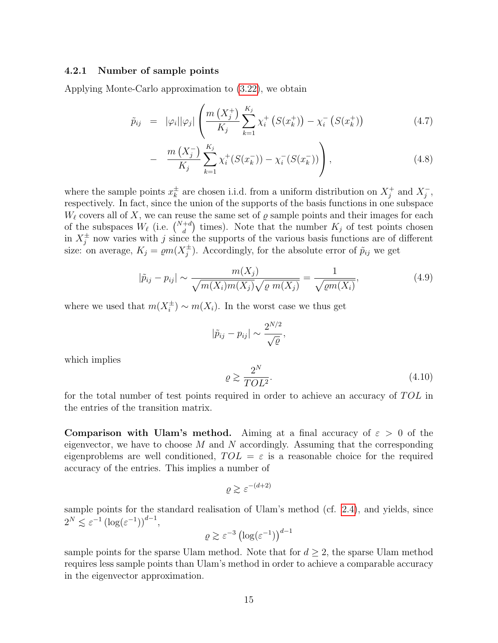### <span id="page-14-0"></span>4.2.1 Number of sample points

Applying Monte-Carlo approximation to [\(3.22\)](#page-9-1), we obtain

$$
\tilde{p}_{ij} = |\varphi_i| |\varphi_j| \left( \frac{m\left(X_j^+\right)}{K_j} \sum_{k=1}^{K_j} \chi_i^+\left(S(x_k^+)\right) - \chi_i^-\left(S(x_k^+)\right) \right) \tag{4.7}
$$

$$
- \frac{m\left(X_j^-\right)}{K_j} \sum_{k=1}^{K_j} \chi_i^+(S(x_k^-)) - \chi_i^-(S(x_k^-)) \Bigg), \tag{4.8}
$$

where the sample points  $x_k^{\pm}$  $\frac{1}{k}$  are chosen i.i.d. from a uniform distribution on  $X_j^+$  $j^+$  and  $X_j^ \frac{1}{j}$ , respectively. In fact, since the union of the supports of the basis functions in one subspace  $W_{\ell}$  covers all of X, we can reuse the same set of  $\rho$  sample points and their images for each of the subspaces  $W_{\ell}$  (i.e.  $\binom{N+d}{d}$  times). Note that the number  $K_j$  of test points chosen in  $X_j^{\pm}$  now varies with j since the supports of the various basis functions are of different size: on average,  $K_j = \varrho m(X_j^{\pm})$  $j^{\pm}$ ). Accordingly, for the absolute error of  $\tilde{p}_{ij}$  we get

$$
|\tilde{p}_{ij} - p_{ij}| \sim \frac{m(X_j)}{\sqrt{m(X_i)m(X_j)}\sqrt{\varrho m(X_j)}} = \frac{1}{\sqrt{\varrho m(X_i)}},
$$
\n(4.9)

where we used that  $m(X_i^{\pm})$  $\chi_i^{\pm}$ ) ~  $m(X_i)$ . In the worst case we thus get

$$
|\tilde{p}_{ij}-p_{ij}|\sim \frac{2^{N/2}}{\sqrt{\varrho}},
$$

which implies

$$
\varrho \gtrsim \frac{2^N}{TOL^2}.\tag{4.10}
$$

for the total number of test points required in order to achieve an accuracy of  $TOL$  in the entries of the transition matrix.

Comparison with Ulam's method. Aiming at a final accuracy of  $\varepsilon > 0$  of the eigenvector, we have to choose  $M$  and  $N$  accordingly. Assuming that the corresponding eigenproblems are well conditioned,  $TOL = \varepsilon$  is a reasonable choice for the required accuracy of the entries. This implies a number of

$$
\varrho \gtrsim \varepsilon^{-(d+2)}
$$

sample points for the standard realisation of Ulam's method (cf. [2.4\)](#page-4-2), and yields, since  $2^N \leq \varepsilon^{-1} \left( \log(\varepsilon^{-1}) \right)^{d-1},$ 

$$
\varrho \gtrsim \varepsilon^{-3} \left(\log(\varepsilon^{-1})\right)^{d-1}
$$

sample points for the sparse Ulam method. Note that for  $d \geq 2$ , the sparse Ulam method requires less sample points than Ulam's method in order to achieve a comparable accuracy in the eigenvector approximation.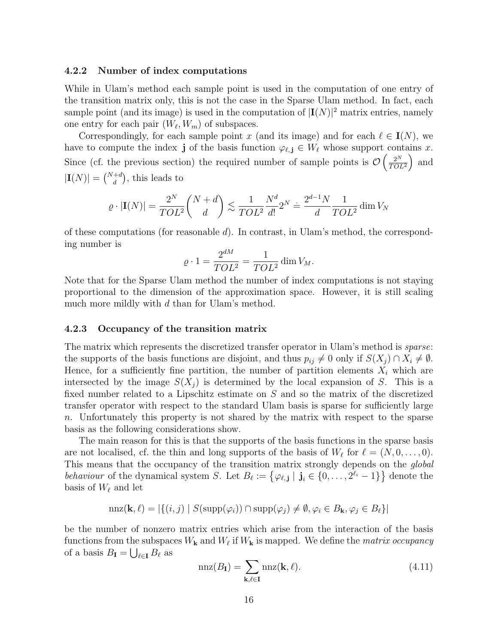#### <span id="page-15-0"></span>4.2.2 Number of index computations

While in Ulam's method each sample point is used in the computation of one entry of the transition matrix only, this is not the case in the Sparse Ulam method. In fact, each sample point (and its image) is used in the computation of  $|I(N)|^2$  matrix entries, namely one entry for each pair  $(W_{\ell}, W_m)$  of subspaces.

Correspondingly, for each sample point x (and its image) and for each  $\ell \in I(N)$ , we have to compute the index j of the basis function  $\varphi_{\ell,j} \in W_{\ell}$  whose support contains x. Since (cf. the previous section) the required number of sample points is  $\mathcal{O}\left(\frac{2^N}{TQ} \right)$  $\frac{2^N}{TOL^2}$  and  $|\mathbf{I}(N)| = \binom{N+d}{d}$ , this leads to

$$
\varrho \cdot |\mathbf{I}(N)| = \frac{2^N}{TOL^2} {N+d \choose d} \lesssim \frac{1}{TOL^2} \frac{N^d}{d!} 2^N \doteq \frac{2^{d-1}N}{d} \frac{1}{TOL^2} \dim V_N
$$

of these computations (for reasonable  $d$ ). In contrast, in Ulam's method, the corresponding number is

$$
\varrho \cdot 1 = \frac{2^{dM}}{TOL^2} = \frac{1}{TOL^2} \dim V_M.
$$

Note that for the Sparse Ulam method the number of index computations is not staying proportional to the dimension of the approximation space. However, it is still scaling much more mildly with d than for Ulam's method.

#### 4.2.3 Occupancy of the transition matrix

The matrix which represents the discretized transfer operator in Ulam's method is *sparse*: the supports of the basis functions are disjoint, and thus  $p_{ij} \neq 0$  only if  $S(X_j) \cap X_i \neq \emptyset$ . Hence, for a sufficiently fine partition, the number of partition elements  $X_i$  which are intersected by the image  $S(X_i)$  is determined by the local expansion of S. This is a fixed number related to a Lipschitz estimate on S and so the matrix of the discretized transfer operator with respect to the standard Ulam basis is sparse for sufficiently large n. Unfortunately this property is not shared by the matrix with respect to the sparse basis as the following considerations show.

The main reason for this is that the supports of the basis functions in the sparse basis are not localised, cf. the thin and long supports of the basis of  $W_{\ell}$  for  $\ell = (N, 0, \ldots, 0)$ . This means that the occupancy of the transition matrix strongly depends on the *global* behaviour of the dynamical system S. Let  $B_\ell := \{ \varphi_{\ell, j} \mid j_i \in \{0, \ldots, 2^{\ell_i} - 1\} \}$  denote the basis of  $W_{\ell}$  and let

$$
\mathrm{nnz}(\mathbf{k}, \ell) = |\{(i, j) \mid S(\mathrm{supp}(\varphi_i)) \cap \mathrm{supp}(\varphi_j) \neq \emptyset, \varphi_i \in B_{\mathbf{k}}, \varphi_j \in B_{\ell}\}|
$$

be the number of nonzero matrix entries which arise from the interaction of the basis functions from the subspaces  $W_{\mathbf{k}}$  and  $W_{\ell}$  if  $W_{\mathbf{k}}$  is mapped. We define the *matrix occupancy* of a basis  $B_{\mathbf{I}} = \bigcup_{\ell \in \mathbf{I}} B_{\ell}$  as

$$
\operatorname{nnz}(B_{\mathbf{I}}) = \sum_{\mathbf{k}, \ell \in \mathbf{I}} \operatorname{nnz}(\mathbf{k}, \ell). \tag{4.11}
$$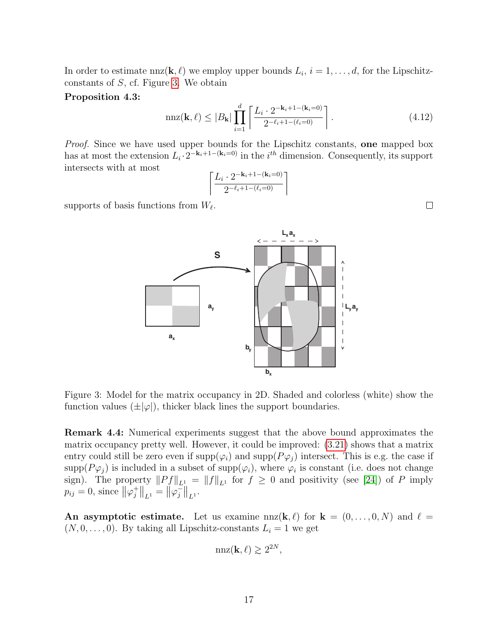In order to estimate  $nnz(\mathbf{k}, \ell)$  we employ upper bounds  $L_i$ ,  $i = 1, ..., d$ , for the Lipschitzconstants of S, cf. Figure [3.](#page-16-0) We obtain

#### Proposition 4.3:

$$
\max(\mathbf{k}, \ell) \le |B_{\mathbf{k}}| \prod_{i=1}^{d} \left[ \frac{L_i \cdot 2^{-\mathbf{k}_i + 1 - (\mathbf{k}_i = 0)}}{2^{-\ell_i + 1 - (\ell_i = 0)}} \right].
$$
\n(4.12)

 $L_{x}a_{x}$ 

 $\rightarrow$ 

**Lyay**

Proof. Since we have used upper bounds for the Lipschitz constants, one mapped box has at most the extension  $L_i \cdot 2^{-k_i+1-(k_i=0)}$  in the  $i^{th}$  dimension. Consequently, its support intersects with at most

$$
\left\lceil \frac{L_i \cdot 2^{-\mathbf{k}_i+1-(\mathbf{k}_i=0)}}{2^{-\ell_i+1-(\ell_i=0)}} \right\rceil
$$

**S**

**ay**

supports of basis functions from  $W_{\ell}$ .



<span id="page-16-0"></span>Remark 4.4: Numerical experiments suggest that the above bound approximates the matrix occupancy pretty well. However, it could be improved: [\(3.21\)](#page-9-2) shows that a matrix entry could still be zero even if  $\text{supp}(\varphi_i)$  and  $\text{supp}(P\varphi_j)$  intersect. This is e.g. the case if supp $(P\varphi_j)$  is included in a subset of supp $(\varphi_i)$ , where  $\varphi_i$  is constant (i.e. does not change sign). The property  $||Pf||_{L_1} = ||f||_{L_1}$  for  $f \geq 0$  and positivity (see [\[24\]](#page-22-11)) of P imply  $p_{ij} = 0$ , since  $\|\varphi_j^+\|$  $\left\| \frac{1}{j} \right\|_{L^1} = \left\| \varphi_j \right\|^2$  $\frac{1}{j}\Big\|_{L^{1}}.$ 

An asymptotic estimate. Let us examine  $nnz(\mathbf{k}, \ell)$  for  $\mathbf{k} = (0, \ldots, 0, N)$  and  $\ell =$  $(N, 0, \ldots, 0)$ . By taking all Lipschitz-constants  $L_i = 1$  we get

$$
\mathrm{nnz}(\mathbf{k},\ell) \gtrsim 2^{2N},
$$

 $\Box$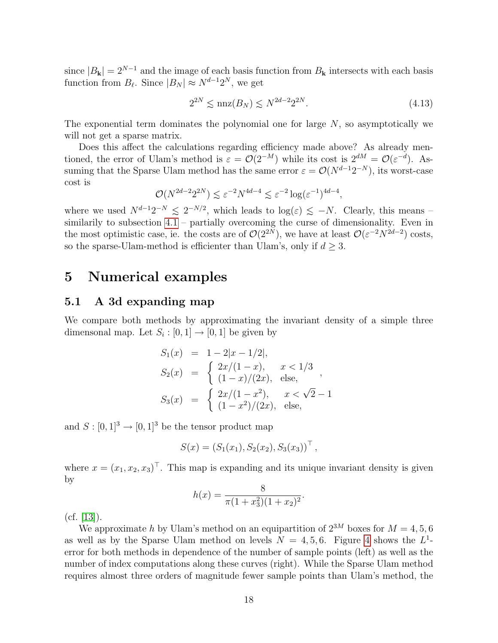since  $|B_{\mathbf{k}}| = 2^{N-1}$  and the image of each basis function from  $B_{\mathbf{k}}$  intersects with each basis function from  $B_{\ell}$ . Since  $|B_N| \approx N^{d-1}2^N$ , we get

$$
2^{2N} \le \max(B_N) \le N^{2d-2} 2^{2N}.\tag{4.13}
$$

The exponential term dominates the polynomial one for large  $N$ , so asymptotically we will not get a sparse matrix.

Does this affect the calculations regarding efficiency made above? As already mentioned, the error of Ulam's method is  $\varepsilon = \mathcal{O}(2^{-M})$  while its cost is  $2^{dM} = \mathcal{O}(\varepsilon^{-d})$ . Assuming that the Sparse Ulam method has the same error  $\varepsilon = \mathcal{O}(N^{d-1}2^{-N})$ , its worst-case cost is

$$
\mathcal{O}(N^{2d-2}2^{2N}) \lesssim \varepsilon^{-2} N^{4d-4} \lesssim \varepsilon^{-2} \log(\varepsilon^{-1})^{4d-4},
$$

where we used  $N^{d-1}2^{-N} \leq 2^{-N/2}$ , which leads to  $\log(\varepsilon) \leq -N$ . Clearly, this means – similarily to subsection  $4.1$  – partially overcoming the curse of dimensionality. Even in the most optimistic case, ie. the costs are of  $\mathcal{O}(2^{2N})$ , we have at least  $\mathcal{O}(\varepsilon^{-2}N^{2d-2})$  costs, so the sparse-Ulam-method is efficienter than Ulam's, only if  $d \geq 3$ .

### <span id="page-17-0"></span>5 Numerical examples

### 5.1 A 3d expanding map

We compare both methods by approximating the invariant density of a simple three dimensonal map. Let  $S_i : [0,1] \to [0,1]$  be given by

$$
S_1(x) = 1 - 2|x - 1/2|,
$$
  
\n
$$
S_2(x) = \begin{cases} 2x/(1-x), & x < 1/3 \\ (1-x)/(2x), & \text{else,} \end{cases},
$$
  
\n
$$
S_3(x) = \begin{cases} 2x/(1-x^2), & x < \sqrt{2} - 1 \\ (1-x^2)/(2x), & \text{else,} \end{cases}
$$

and  $S : [0, 1]^3 \rightarrow [0, 1]^3$  be the tensor product map

$$
S(x) = (S_1(x_1), S_2(x_2), S_3(x_3))^\top,
$$

where  $x = (x_1, x_2, x_3)^\top$ . This map is expanding and its unique invariant density is given by

$$
h(x) = \frac{8}{\pi (1 + x_3^2)(1 + x_2)^2}.
$$

 $(cf. [13]).$  $(cf. [13]).$  $(cf. [13]).$ 

We approximate h by Ulam's method on an equipartition of  $2^{3M}$  boxes for  $M = 4, 5, 6$ as well as by the Sparse Ulam method on levels  $N = 4, 5, 6$  $N = 4, 5, 6$  $N = 4, 5, 6$ . Figure 4 shows the  $L<sup>1</sup>$ error for both methods in dependence of the number of sample points (left) as well as the number of index computations along these curves (right). While the Sparse Ulam method requires almost three orders of magnitude fewer sample points than Ulam's method, the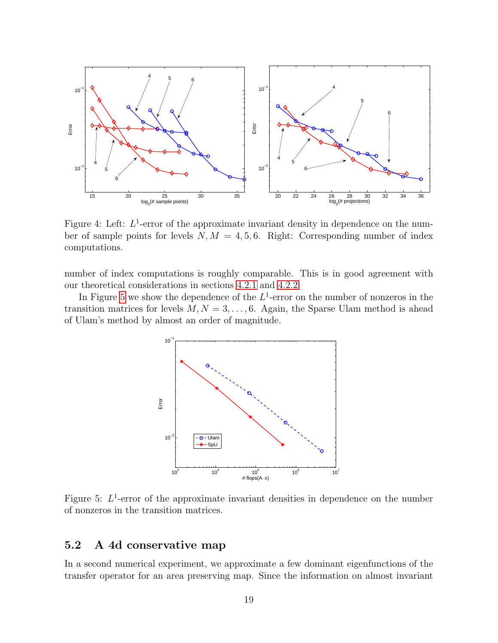

<span id="page-18-0"></span>Figure 4: Left:  $L^1$ -error of the approximate invariant density in dependence on the number of sample points for levels  $N, M = 4, 5, 6$ . Right: Corresponding number of index computations.

number of index computations is roughly comparable. This is in good agreement with our theoretical considerations in sections [4.2.1](#page-14-0) and [4.2.2.](#page-15-0)

In Figure [5](#page-18-1) we show the dependence of the  $L^1$ -error on the number of nonzeros in the transition matrices for levels  $M, N = 3, \ldots, 6$ . Again, the Sparse Ulam method is ahead of Ulam's method by almost an order of magnitude.



<span id="page-18-1"></span>Figure 5:  $L^1$ -error of the approximate invariant densities in dependence on the number of nonzeros in the transition matrices.

### 5.2 A 4d conservative map

In a second numerical experiment, we approximate a few dominant eigenfunctions of the transfer operator for an area preserving map. Since the information on almost invariant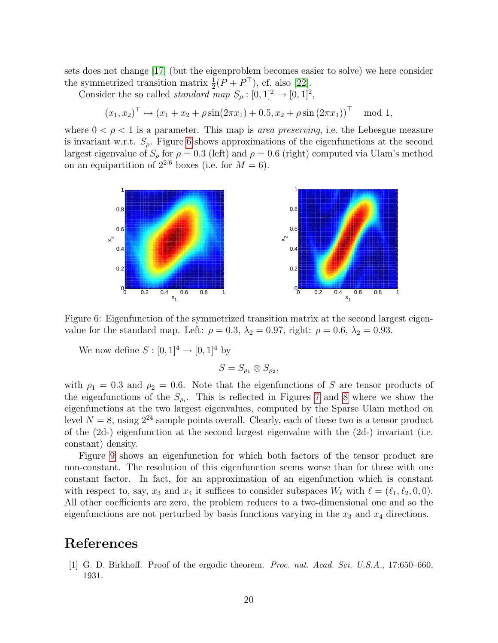sets does not change [\[17\]](#page-21-10) (but the eigenproblem becomes easier to solve) we here consider the symmetrized transition matrix  $\frac{1}{2}(P + P^{\top})$ , cf. also [\[22\]](#page-22-12).

Consider the so called *standard* map  $S_\rho : [0,1]^2 \to [0,1]^2$ ,

$$
(x_1, x_2)^{\top} \mapsto (x_1 + x_2 + \rho \sin(2\pi x_1) + 0.5, x_2 + \rho \sin(2\pi x_1))^{\top} \mod 1,
$$

where  $0 < \rho < 1$  is a parameter. This map is *area preserving*, i.e. the Lebesgue measure is invariant w.r.t.  $S_{\rho}$ . Figure [6](#page-19-1) shows approximations of the eigenfunctions at the second largest eigenvalue of  $S_\rho$  for  $\rho = 0.3$  (left) and  $\rho = 0.6$  (right) computed via Ulam's method on an equipartition of  $2^{2.6}$  boxes (i.e. for  $M = 6$ ).



<span id="page-19-1"></span>Figure 6: Eigenfunction of the symmetrized transition matrix at the second largest eigenvalue for the standard map. Left:  $\rho = 0.3$ ,  $\lambda_2 = 0.97$ , right:  $\rho = 0.6$ ,  $\lambda_2 = 0.93$ .

We now define  $S : [0, 1]^4 \to [0, 1]^4$  by

$$
S=S_{\rho_1}\otimes S_{\rho_2},
$$

with  $\rho_1 = 0.3$  and  $\rho_2 = 0.6$ . Note that the eigenfunctions of S are tensor products of the eigenfunctions of the  $S_{\rho_i}$ . This is reflected in Figures [7](#page-20-6) and [8](#page-20-7) where we show the eigenfunctions at the two largest eigenvalues, computed by the Sparse Ulam method on level  $N = 8$ , using  $2^{24}$  sample points overall. Clearly, each of these two is a tensor product of the  $(2d)$  eigenfunction at the second largest eigenvalue with the  $(2d)$  invariant (i.e. constant) density.

Figure [9](#page-21-11) shows an eigenfunction for which both factors of the tensor product are non-constant. The resolution of this eigenfunction seems worse than for those with one constant factor. In fact, for an approximation of an eigenfunction which is constant with respect to, say,  $x_3$  and  $x_4$  it suffices to consider subspaces  $W_\ell$  with  $\ell = (\ell_1, \ell_2, 0, 0)$ . All other coefficients are zero, the problem reduces to a two-dimensional one and so the eigenfunctions are not perturbed by basis functions varying in the  $x_3$  and  $x_4$  directions.

# References

<span id="page-19-0"></span>[1] G. D. Birkhoff. Proof of the ergodic theorem. Proc. nat. Acad. Sci. U.S.A., 17:650–660, 1931.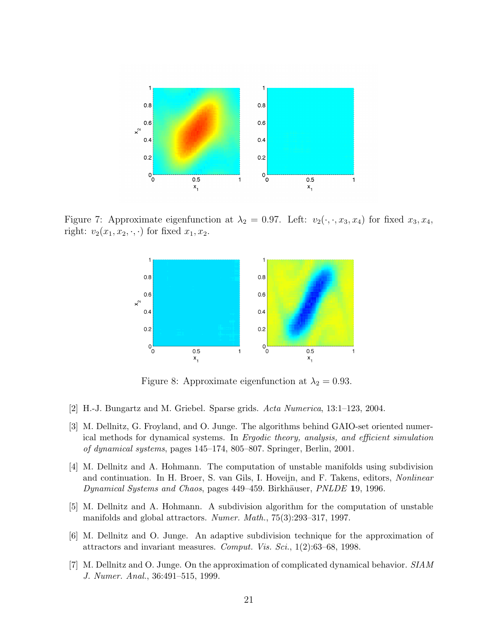

Figure 7: Approximate eigenfunction at  $\lambda_2 = 0.97$ . Left:  $v_2(\cdot, \cdot, x_3, x_4)$  for fixed  $x_3, x_4$ , right:  $v_2(x_1, x_2, \cdot, \cdot)$  for fixed  $x_1, x_2$ .

<span id="page-20-6"></span>

<span id="page-20-7"></span>Figure 8: Approximate eigenfunction at  $\lambda_2 = 0.93$ .

- <span id="page-20-1"></span>[2] H.-J. Bungartz and M. Griebel. Sparse grids. Acta Numerica, 13:1–123, 2004.
- <span id="page-20-4"></span>[3] M. Dellnitz, G. Froyland, and O. Junge. The algorithms behind GAIO-set oriented numerical methods for dynamical systems. In Ergodic theory, analysis, and efficient simulation of dynamical systems, pages 145–174, 805–807. Springer, Berlin, 2001.
- <span id="page-20-2"></span>[4] M. Dellnitz and A. Hohmann. The computation of unstable manifolds using subdivision and continuation. In H. Broer, S. van Gils, I. Hoveijn, and F. Takens, editors, Nonlinear Dynamical Systems and Chaos, pages 449–459. Birkhäuser, PNLDE 19, 1996.
- <span id="page-20-3"></span>[5] M. Dellnitz and A. Hohmann. A subdivision algorithm for the computation of unstable manifolds and global attractors. Numer. Math., 75(3):293–317, 1997.
- <span id="page-20-5"></span>[6] M. Dellnitz and O. Junge. An adaptive subdivision technique for the approximation of attractors and invariant measures. Comput. Vis. Sci., 1(2):63–68, 1998.
- <span id="page-20-0"></span>[7] M. Dellnitz and O. Junge. On the approximation of complicated dynamical behavior. SIAM J. Numer. Anal., 36:491–515, 1999.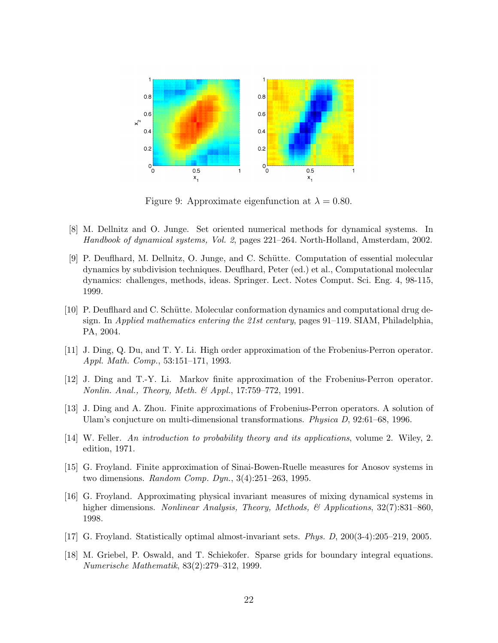

<span id="page-21-11"></span>Figure 9: Approximate eigenfunction at  $\lambda = 0.80$ .

- <span id="page-21-7"></span>[8] M. Dellnitz and O. Junge. Set oriented numerical methods for dynamical systems. In Handbook of dynamical systems, Vol. 2, pages 221–264. North-Holland, Amsterdam, 2002.
- <span id="page-21-0"></span>[9] P. Deufthard, M. Dellnitz, O. Junge, and C. Schütte. Computation of essential molecular dynamics by subdivision techniques. Deuflhard, Peter (ed.) et al., Computational molecular dynamics: challenges, methods, ideas. Springer. Lect. Notes Comput. Sci. Eng. 4, 98-115, 1999.
- <span id="page-21-1"></span>[10] P. Deufthard and C. Schütte. Molecular conformation dynamics and computational drug design. In Applied mathematics entering the 21st century, pages 91–119. SIAM, Philadelphia, PA, 2004.
- <span id="page-21-3"></span>[11] J. Ding, Q. Du, and T. Y. Li. High order approximation of the Frobenius-Perron operator. Appl. Math. Comp., 53:151–171, 1993.
- <span id="page-21-2"></span>[12] J. Ding and T.-Y. Li. Markov finite approximation of the Frobenius-Perron operator. Nonlin. Anal., Theory, Meth. & Appl., 17:759–772, 1991.
- <span id="page-21-5"></span>[13] J. Ding and A. Zhou. Finite approximations of Frobenius-Perron operators. A solution of Ulam's conjucture on multi-dimensional transformations. Physica D, 92:61–68, 1996.
- <span id="page-21-8"></span>[14] W. Feller. An introduction to probability theory and its applications, volume 2. Wiley, 2. edition, 1971.
- <span id="page-21-4"></span>[15] G. Froyland. Finite approximation of Sinai-Bowen-Ruelle measures for Anosov systems in two dimensions. Random Comp. Dyn., 3(4):251–263, 1995.
- <span id="page-21-6"></span>[16] G. Froyland. Approximating physical invariant measures of mixing dynamical systems in higher dimensions. Nonlinear Analysis, Theory, Methods, & Applications, 32(7):831–860, 1998.
- <span id="page-21-10"></span>[17] G. Froyland. Statistically optimal almost-invariant sets. Phys. D, 200(3-4):205–219, 2005.
- <span id="page-21-9"></span>[18] M. Griebel, P. Oswald, and T. Schiekofer. Sparse grids for boundary integral equations. Numerische Mathematik, 83(2):279–312, 1999.